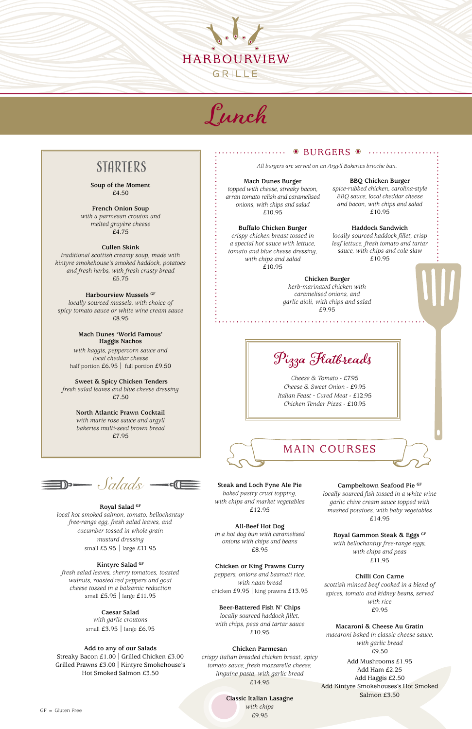**Soup of the Moment** £4.50

**French Onion Soup**  *with a parmesan crouton and melted gruyère cheese* £4.75

**Cullen Skink**  *traditional scottish creamy soup, made with kintyre smokehouse's smoked haddock, potatoes and fresh herbs, with fresh crusty bread* £5.75

> *with haggis, peppercorn sauce and local cheddar cheese* half portion £6.95 | full portion £9.50

#### **Harbourview Mussels GF**

*locally sourced mussels, with choice of spicy tomato sauce or white wine cream sauce* £8.95

> **Mach Dunes 'World Famous' Haggis Nachos**

> > *peppers, onions and basmati rice, with naan bread*  chicken £9.95 | king prawns £13.95

 **Sweet & Spicy Chicken Tenders** *fresh salad leaves and blue cheese dressing* £7.50

> **North Atlantic Prawn Cocktail**  *with marie rose sauce and argyll bakeries multi-seed brown bread* £7.95



Lunch

# **STARTERS**

**Steak and Loch Fyne Ale Pie** *baked pastry crust topping, with chips and market vegetables* £12.95

**All-Beef Hot Dog** *in a hot dog bun with caramelised onions with chips and beans* £8.95

#### **Chicken or King Prawns Curry**

#### **Beer-Battered Fish N' Chips**

*locally sourced haddock fillet, with chips, peas and tartar sauce* £10.95

#### **Chicken Parmesan**

*crispy italian breaded chicken breast, spicy tomato sauce, fresh mozzarella cheese, linguine pasta, with garlic bread* £14.95

#### **Classic Italian Lasagne** *with chips*

£9.95

#### **Campbeltown Seafood Pie GF**

*locally sourced fish tossed in a white wine garlic chive cream sauce topped with mashed potatoes, with baby vegetables* £14.95

**Royal Gammon Steak & Eggs GF**

*with bellochantuy free-range eggs, with chips and peas* £11.95

#### **Chilli Con Carne**

*scottish minced beef cooked in a blend of spices, tomato and kidney beans, served with rice* £9.95

#### **Macaroni & Cheese Au Gratin**

*macaroni baked in classic cheese sauce, with garlic bread* £9.50

Add Mushrooms £1.95 Add Ham £2.25 Add Haggis £2.50 Add Kintyre Smokehouses's Hot Smoked Salmon £3.50

 $GF = Gluten Free$ 



#### **Mach Dunes Burger**

*topped with cheese, streaky bacon, arran tomato relish and caramelised onions, with chips and salad* £10.95

#### **Buffalo Chicken Burger**

*crispy chicken breast tossed in a special hot sauce with lettuce, tomato and blue cheese dressing, with chips and salad* £10.95

#### **BBQ Chicken Burger**

*spice-rubbed chicken, carolina-style BBQ sauce, local cheddar cheese and bacon, with chips and salad* £10.95

#### **Haddock Sandwich**

*locally sourced haddock fillet, crisp leaf lettuce, fresh tomato and tartar sauce, with chips and cole slaw* £10.95

# *Salads*

**Royal Salad GF** *local hot smoked salmon, tomato, bellochantuy free-range egg, fresh salad leaves, and cucumber tossed in whole grain* 

#### $\odot$  BURGERS  $\odot$  ................... . . . . . . . . . . .

*mustard dressing* small £5.95 | large £11.95

#### **Kintyre Salad GF**

*fresh salad leaves, cherry tomatoes, toasted walnuts, roasted red peppers and goat cheese tossed in a balsamic reduction* small £5.95 | large £11.95

#### **Caesar Salad**

*with garlic croutons* small £3.95 | large £6.95

#### **Add to any of our Salads**

Streaky Bacon £1.00 | Grilled Chicken £3.00 Grilled Prawns £3.00 | Kintyre Smokehouse's Hot Smoked Salmon £3.50

Pizza Flatbreads

*Cheese & Tomato* - £7.95 *Cheese & Sweet Onion* - £9.95 *Italian Feast - Cured Meat* - £12.95 *Chicken Tender Pizza* - £10.95

*All burgers are served on an Argyll Bakeries brioche bun.*

**Chicken Burger** *herb-marinated chicken with caramelised onions, and garlic aioli, with chips and salad* £9.95